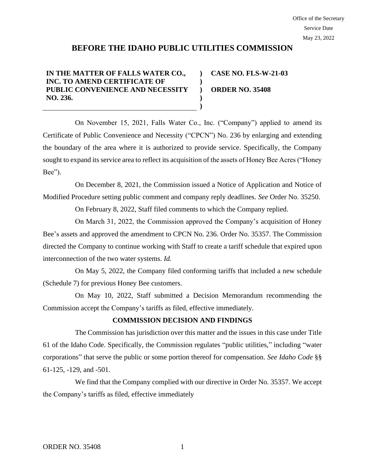## **BEFORE THE IDAHO PUBLIC UTILITIES COMMISSION**

**) )**

> **) )**

## **IN THE MATTER OF FALLS WATER CO., INC. TO AMEND CERTIFICATE OF PUBLIC CONVENIENCE AND NECESSITY NO. 236.**

**) ORDER NO. 35408 CASE NO. FLS-W-21-03**

On November 15, 2021, Falls Water Co., Inc. ("Company") applied to amend its Certificate of Public Convenience and Necessity ("CPCN") No. 236 by enlarging and extending the boundary of the area where it is authorized to provide service. Specifically, the Company sought to expand its service area to reflect its acquisition of the assets of Honey Bee Acres ("Honey Bee").

On December 8, 2021, the Commission issued a Notice of Application and Notice of Modified Procedure setting public comment and company reply deadlines. *See* Order No. 35250.

On February 8, 2022, Staff filed comments to which the Company replied.

On March 31, 2022, the Commission approved the Company's acquisition of Honey Bee's assets and approved the amendment to CPCN No. 236. Order No. 35357. The Commission directed the Company to continue working with Staff to create a tariff schedule that expired upon interconnection of the two water systems. *Id.* 

On May 5, 2022, the Company filed conforming tariffs that included a new schedule (Schedule 7) for previous Honey Bee customers.

On May 10, 2022, Staff submitted a Decision Memorandum recommending the Commission accept the Company's tariffs as filed, effective immediately.

## **COMMISSION DECISION AND FINDINGS**

The Commission has jurisdiction over this matter and the issues in this case under Title 61 of the Idaho Code. Specifically, the Commission regulates "public utilities," including "water corporations" that serve the public or some portion thereof for compensation. *See Idaho Code* §§ 61-125, -129, and -501.

We find that the Company complied with our directive in Order No. 35357. We accept the Company's tariffs as filed, effective immediately